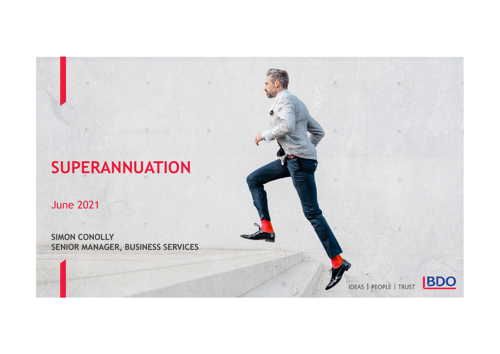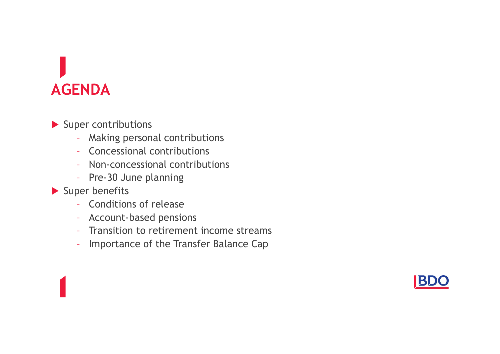### AGENDA

Super contributions

- Making personal contributions
- Concessional contributions
- Non-concessional contributions
- Pre-30 June planning
- Super benefits
	- Conditions of release
	- Account-based pensions
	- Transition to retirement income streams
	- Importance of the Transfer Balance Cap

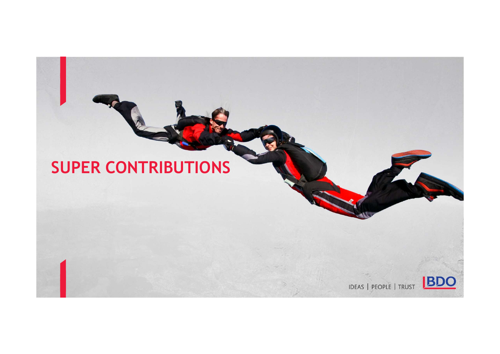### SUPER CONTRIBUTIONS

IDEAS | PEOPLE | TRUST BDO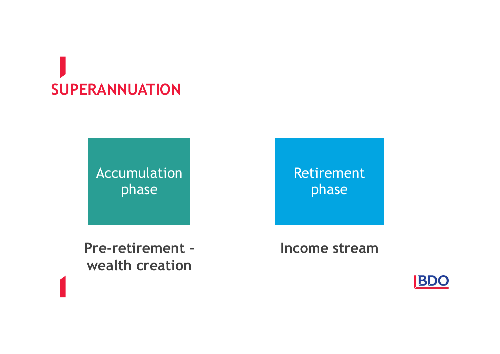### SUPERANNUATION

Accumulation phase

Pre-retirement – wealth creation

Retirement phase

Income stream

**BDO**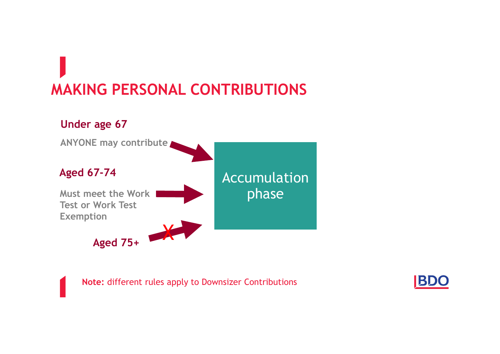### MAKING PERSONAL CONTRIBUTIONS



Note: different rules apply to Downsizer Contributions

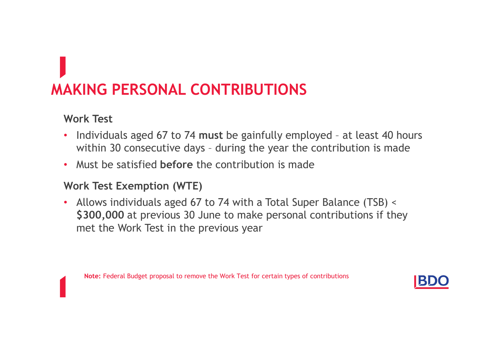# MAKING PERSONAL CONTRIBUTIONS **AKING PERSONAL CONTRIBUTIONS**<br>• Individuals aged 67 to 74 must be gainfully employed - at least 40 hours<br>• Individuals aged 67 to 74 must be gainfully employed - at least 40 hours<br>• Must be satisfied before the contributi **KING PERSONAL CONTRIBUTIONS**<br>prk Test<br>Individuals aged 67 to 74 must be gainfully employed - at least 40 hours<br>within 30 consecutive days - during the year the contribution is made<br>Must be satisfied before the contributio

#### Work Test

- 
- Must be satisfied before the contribution is made

#### Work Test Exemption (WTE)

• Allows individuals aged 67 to 74 with a Total Super Balance (TSB) < \$300,000 at previous 30 June to make personal contributions if they met the Work Test in the previous year

Note: Federal Budget proposal to remove the Work Test for certain types of contributions

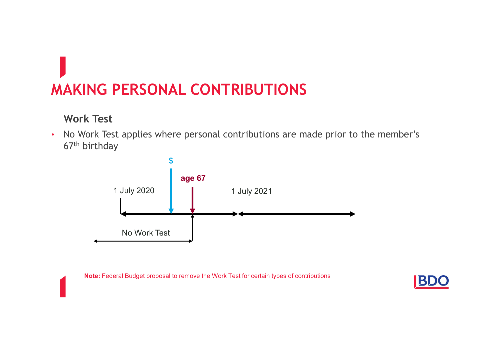### MAKING PERSONAL CONTRIBUTIONS

#### Work Test

• No Work Test applies where personal contributions are made prior to the member's 67th birthday



Note: Federal Budget proposal to remove the Work Test for certain types of contributions<br>
BRD

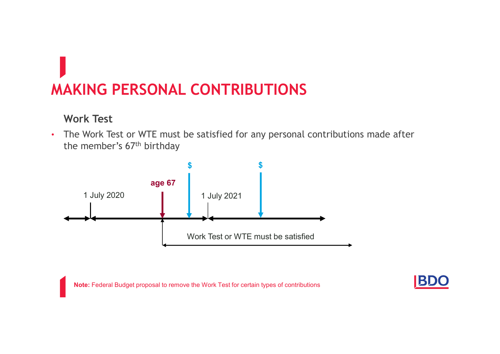### MAKING PERSONAL CONTRIBUTIONS

#### Work Test

• The Work Test or WTE must be satisfied for any personal contributions made after the member's 67th birthday



Note: Federal Budget proposal to remove the Work Test for certain types of contributions

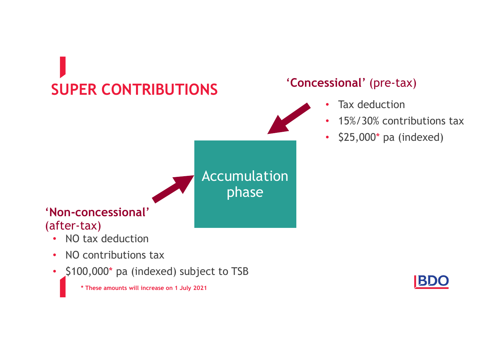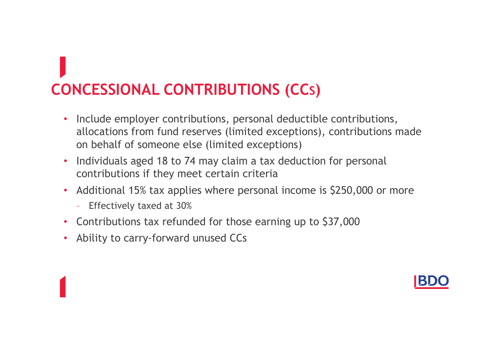# CONCESSIONAL CONTRIBUTIONS (CCS)

- Include employer contributions, personal deductible contributions, allocations from fund reserves (limited exceptions), contributions made on behalf of someone else (limited exceptions)
- Individuals aged 18 to 74 may claim a tax deduction for personal contributions if they meet certain criteria
- Additional 15% tax applies where personal income is \$250,000 or more
	- Effectively taxed at 30%
- Contributions tax refunded for those earning up to \$37,000
- Ability to carry-forward unused CCs

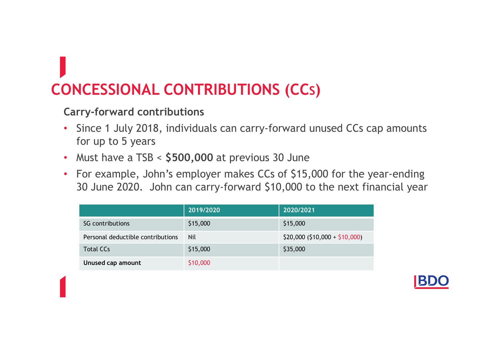### CONCESSIONAL CONTRIBUTIONS (CCS)

#### Carry-forward contributions

- Since 1 July 2018, individuals can carry-forward unused CCs cap amounts for up to 5 years
- Must have a TSB < \$500,000 at previous 30 June
- For example, John's employer makes CCs of \$15,000 for the year-ending 30 June 2020. John can carry-forward \$10,000 to the next financial year

| <b>ICESSIONAL CONTRIBUTIONS (CCs)</b>                                                                                                              |            |                               |  |
|----------------------------------------------------------------------------------------------------------------------------------------------------|------------|-------------------------------|--|
| rry-forward contributions                                                                                                                          |            |                               |  |
| Since 1 July 2018, individuals can carry-forward unused CCs cap amounts<br>for up to 5 years                                                       |            |                               |  |
| Must have a $TSB < $500,000$ at previous 30 June                                                                                                   |            |                               |  |
| For example, John's employer makes CCs of \$15,000 for the year-ending<br>30 June 2020. John can carry-forward \$10,000 to the next financial year |            |                               |  |
|                                                                                                                                                    | 2019/2020  | 2020/2021                     |  |
| SG contributions                                                                                                                                   | \$15,000   | \$15,000                      |  |
| Personal deductible contributions                                                                                                                  | <b>Nil</b> | $$20,000 ($10,000 + $10,000)$ |  |
| <b>Total CCs</b>                                                                                                                                   | \$15,000   | \$35,000                      |  |
| Unused cap amount                                                                                                                                  | \$10,000   |                               |  |
|                                                                                                                                                    |            |                               |  |

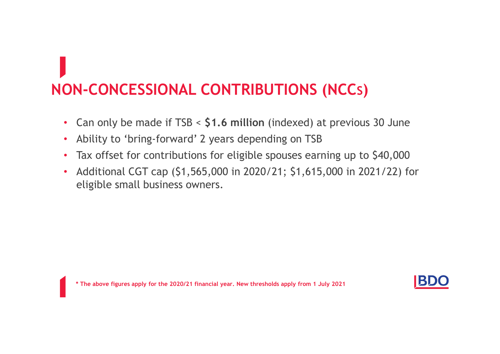### NON-CONCESSIONAL CONTRIBUTIONS (NCCS)

- Can only be made if TSB < \$1.6 million (indexed) at previous 30 June
- Ability to 'bring-forward' 2 years depending on TSB
- Tax offset for contributions for eligible spouses earning up to \$40,000
- Additional CGT cap (\$1,565,000 in 2020/21; \$1,615,000 in 2021/22) for eligible small business owners.

\* The above figures apply for the 2020/21 financial year. New thresholds apply from 1 July 2021

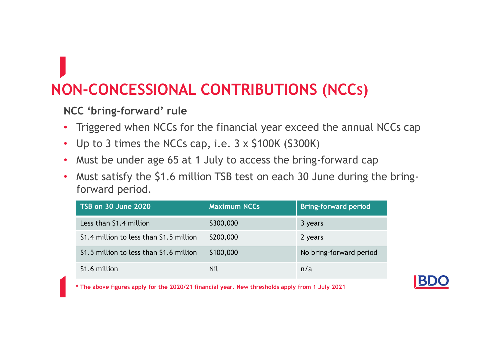### NON-CONCESSIONAL CONTRIBUTIONS (NCCS)

#### NCC 'bring-forward' rule

- Triggered when NCCs for the financial year exceed the annual NCCs cap
- Up to 3 times the NCCs cap, i.e. 3 x \$100K (\$300K)
- Must be under age 65 at 1 July to access the bring-forward cap
- Must satisfy the \$1.6 million TSB test on each 30 June during the bringforward period.

| CC 'bring-forward' rule                                                                      |                     |                                                                |  |
|----------------------------------------------------------------------------------------------|---------------------|----------------------------------------------------------------|--|
| Triggered when NCCs for the financial year exceed the annual NCCs cap                        |                     |                                                                |  |
| Up to 3 times the NCCs cap, i.e. $3 \times 5100$ K (\$300K)                                  |                     |                                                                |  |
|                                                                                              |                     | Must be under age 65 at 1 July to access the bring-forward cap |  |
|                                                                                              |                     |                                                                |  |
| Must satisfy the \$1.6 million TSB test on each 30 June during the bring-<br>forward period. |                     |                                                                |  |
| <b>TSB on 30 June 2020</b>                                                                   | <b>Maximum NCCs</b> | <b>Bring-forward period</b>                                    |  |
| Less than \$1.4 million                                                                      | \$300,000           | 3 years                                                        |  |
| \$1.4 million to less than \$1.5 million                                                     | \$200,000           | 2 years                                                        |  |
| \$1.5 million to less than \$1.6 million                                                     | \$100,000           | No bring-forward period                                        |  |

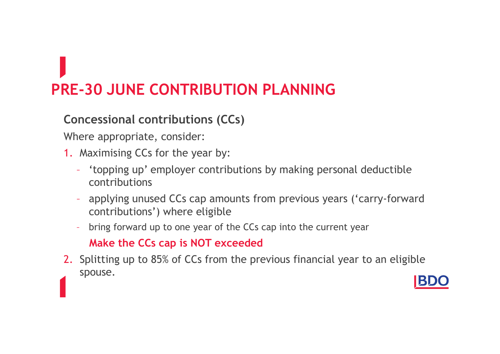# PRE-30 JUNE CONTRIBUTION PLANNING

### Concessional contributions (CCs)

Where appropriate, consider:

- 1. Maximising CCs for the year by:
	- 'topping up' employer contributions by making personal deductible contributions
	- applying unused CCs cap amounts from previous years ('carry-forward contributions') where eligible
	- bring forward up to one year of the CCs cap into the current year Make the CCs cap is NOT exceeded
- 2. Splitting up to 85% of CCs from the previous financial year to an eligible spouse.

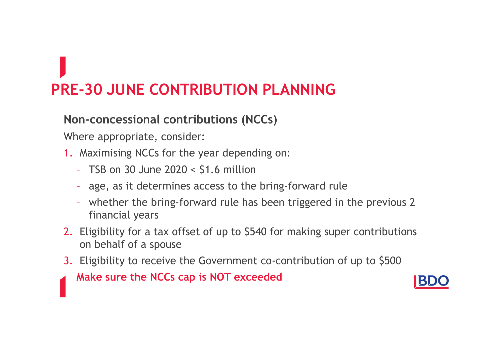## PRE-30 JUNE CONTRIBUTION PLANNING

### Non-concessional contributions (NCCs)

Where appropriate, consider:

- 1. Maximising NCCs for the year depending on:
	- TSB on 30 June  $2020 < 51.6$  million
	- age, as it determines access to the bring-forward rule
	- whether the bring-forward rule has been triggered in the previous 2 financial years
- 2. Eligibility for a tax offset of up to \$540 for making super contributions on behalf of a spouse
- 3. Eligibility to receive the Government co-contribution of up to \$500

Make sure the NCCs cap is NOT exceeded

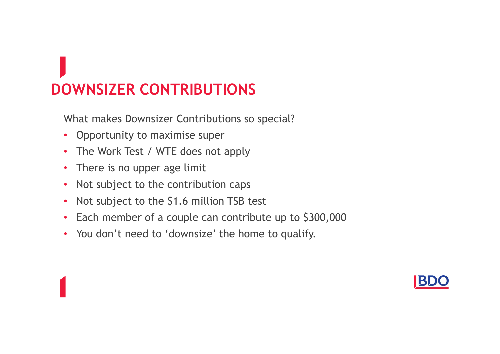What makes Downsizer Contributions so special?

- Opportunity to maximise super
- The Work Test / WTE does not apply
- There is no upper age limit
- Not subject to the contribution caps
- Not subject to the \$1.6 million TSB test
- Each member of a couple can contribute up to \$300,000
- You don't need to 'downsize' the home to qualify.

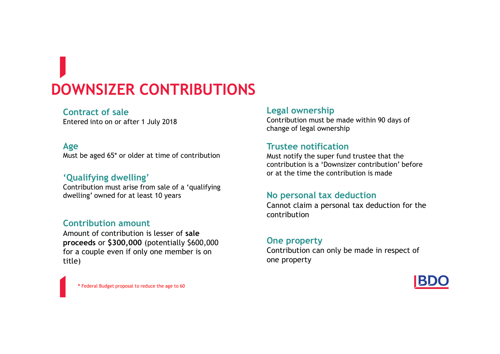#### Contract of sale

Entered into on or after 1 July 2018

#### Age

Must be aged 65\* or older at time of contribution

#### 'Qualifying dwelling'

Contribution must arise from sale of a 'qualifying dwelling' owned for at least 10 years

#### Contribution amount

Amount of contribution is lesser of sale proceeds or \$300,000 (potentially \$600,000 for a couple even if only one member is on title)

#### Legal ownership

Contribution must be made within 90 days of change of legal ownership

#### Trustee notification

Must notify the super fund trustee that the contribution is a 'Downsizer contribution' before or at the time the contribution is made

#### No personal tax deduction

Cannot claim a personal tax deduction for the contribution

#### One property

Contribution can only be made in respect of one property



\* Federal Budget proposal to reduce the age to 60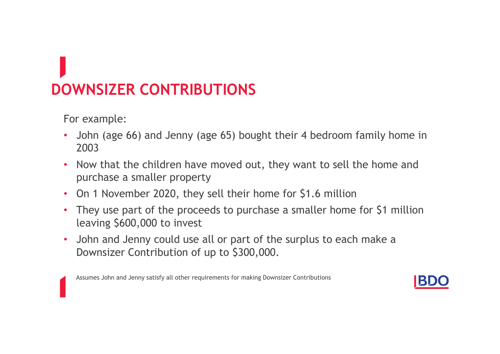For example:

- John (age 66) and Jenny (age 65) bought their 4 bedroom family home in 2003
- Now that the children have moved out, they want to sell the home and purchase a smaller property
- On 1 November 2020, they sell their home for \$1.6 million
- They use part of the proceeds to purchase a smaller home for \$1 million leaving \$600,000 to invest
- John and Jenny could use all or part of the surplus to each make a Downsizer Contribution of up to \$300,000.

Assumes John and Jenny satisfy all other requirements for making Downsizer Contributions

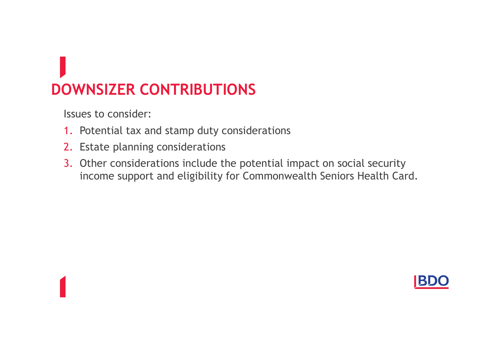Issues to consider:

- 1. Potential tax and stamp duty considerations
- 2. Estate planning considerations
- 3. Other considerations include the potential impact on social security income support and eligibility for Commonwealth Seniors Health Card.

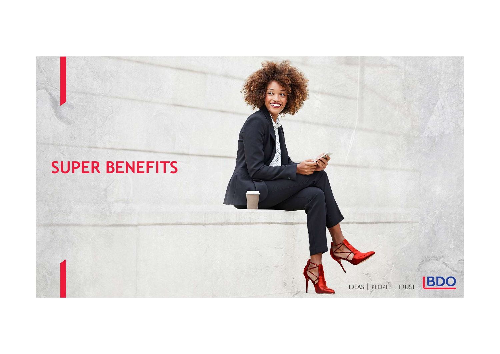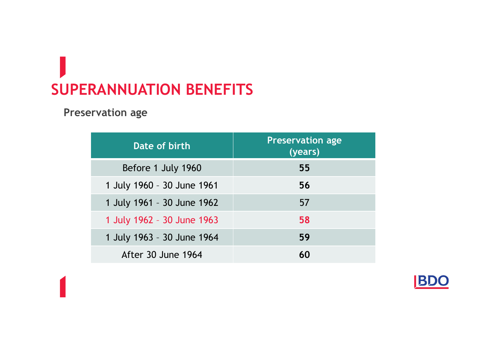### SUPERANNUATION BENEFITS

Preservation age

| <b>RANNUATION BENEFITS</b> |                                    |
|----------------------------|------------------------------------|
| <b>Prvation age</b>        |                                    |
| Date of birth              | <b>Preservation age</b><br>(years) |
| Before 1 July 1960         | 55                                 |
| 1 July 1960 - 30 June 1961 | 56                                 |
| 1 July 1961 - 30 June 1962 | 57                                 |
| 1 July 1962 - 30 June 1963 | 58                                 |
| 1 July 1963 - 30 June 1964 | 59                                 |
| After 30 June 1964         | 60                                 |
|                            |                                    |

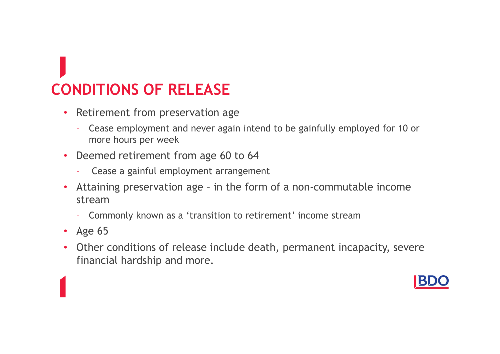# CONDITIONS OF RELEASE

- Retirement from preservation age
	- Cease employment and never again intend to be gainfully employed for 10 or more hours per week
- Deemed retirement from age 60 to 64
	- Cease a gainful employment arrangement
- Retirement from preservation age<br>• Cease employment and never again intend to be gainfully employed for 10 or<br>• or more hours per week<br>• Deemed retirement from age 60 to 64<br>• Cease a gainful employment arrangement<br>• Atta stream
	- Commonly known as a 'transition to retirement' income stream
- Age 65
- Other conditions of release include death, permanent incapacity, severe financial hardship and more.

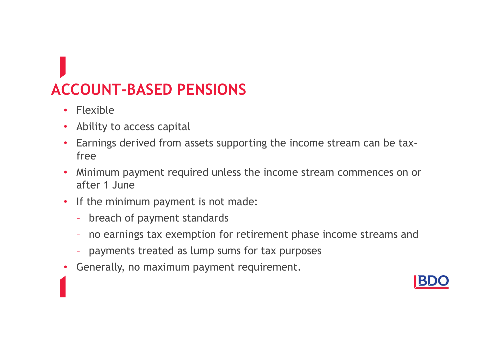### ACCOUNT-BASED PENSIONS

- Flexible
- Ability to access capital
- Earnings derived from assets supporting the income stream can be taxfree
- Minimum payment required unless the income stream commences on or after 1 June
- If the minimum payment is not made:
	- breach of payment standards
	- no earnings tax exemption for retirement phase income streams and
	- payments treated as lump sums for tax purposes
- Generally, no maximum payment requirement.

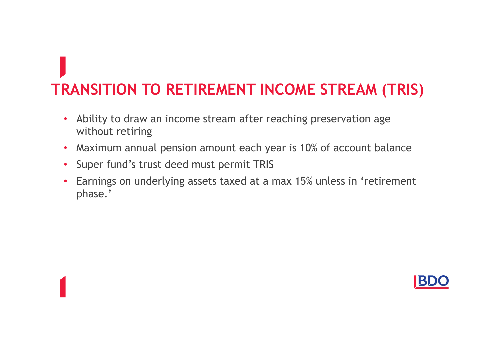# TRANSITION TO RETIREMENT INCOME STREAM (TRIS)

- Ability to draw an income stream after reaching preservation age without retiring
- Maximum annual pension amount each year is 10% of account balance
- Super fund's trust deed must permit TRIS
- Earnings on underlying assets taxed at a max 15% unless in 'retirement phase.'

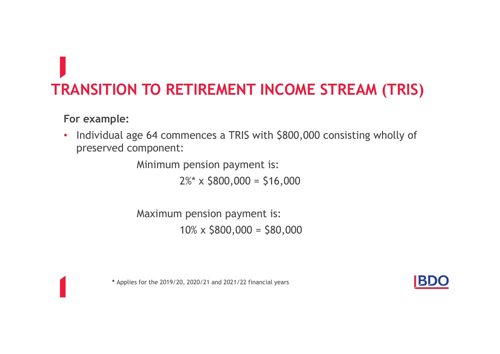### TRANSITION TO RETIREMENT INCOME STREAM (TRIS)

#### For example:

• Individual age 64 commences a TRIS with \$800,000 consisting wholly of preserved component:

Minimum pension payment is:

 $2\%$  x  $$800,000 = $16,000$ 

Maximum pension payment is:  $10\% \times $800,000 = $80,000$ 

\* Applies for the 2019/20, 2020/21 and 2021/22 financial years

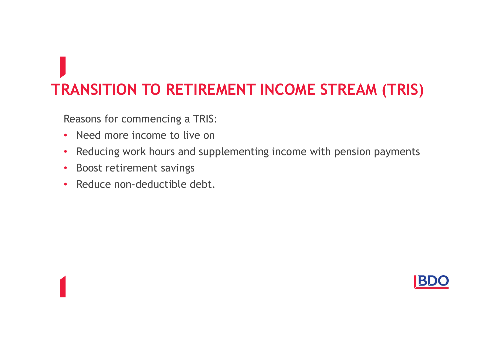### TRANSITION TO RETIREMENT INCOME STREAM (TRIS)

Reasons for commencing a TRIS:

- Need more income to live on
- Reducing work hours and supplementing income with pension payments
- Boost retirement savings
- Reduce non-deductible debt.

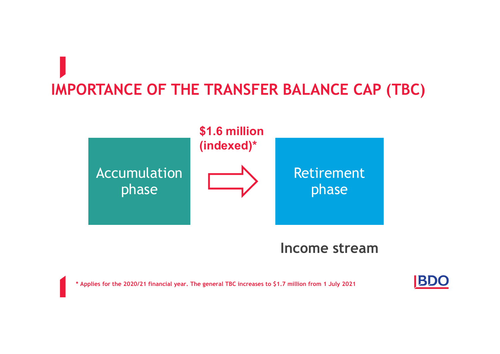## IMPORTANCE OF THE TRANSFER BALANCE CAP (TBC)



### Income stream

\* Applies for the 2020/21 financial year. The general TBC increases to \$1.7 million from 1 July 2021

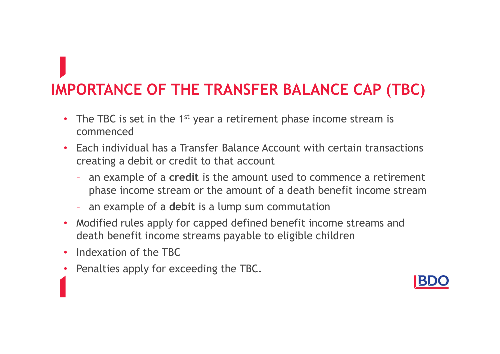### IMPORTANCE OF THE TRANSFER BALANCE CAP (TBC)

- The TBC is set in the  $1<sup>st</sup>$  year a retirement phase income stream is commenced
- Each individual has a Transfer Balance Account with certain transactions creating a debit or credit to that account
	- an example of a credit is the amount used to commence a retirement phase income stream or the amount of a death benefit income stream
	- an example of a debit is a lump sum commutation
- Modified rules apply for capped defined benefit income streams and death benefit income streams payable to eligible children
- Indexation of the TBC
- Penalties apply for exceeding the TBC.

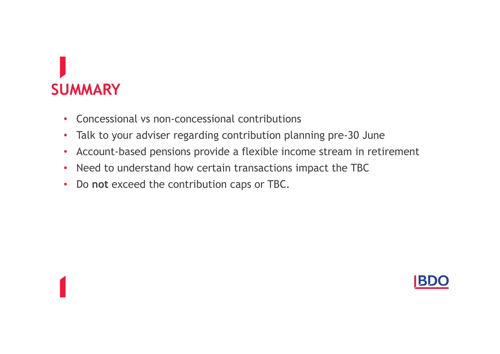### **SUMMARY**

- Concessional vs non-concessional contributions
- Talk to your adviser regarding contribution planning pre-30 June
- Account-based pensions provide a flexible income stream in retirement
- Need to understand how certain transactions impact the TBC
- Do not exceed the contribution caps or TBC.

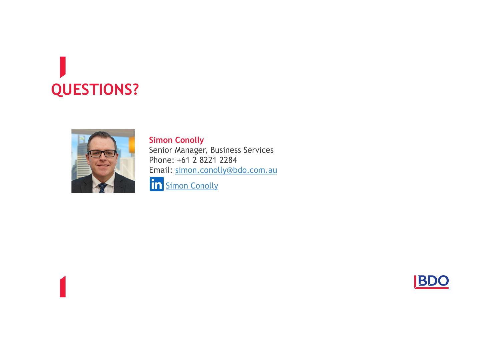### QUESTIONS?



#### Simon Conolly

Senior Manager, Business Services Phone: +61 2 8221 2284 Email: simon.conolly@bdo.com.au in Simon Conolly